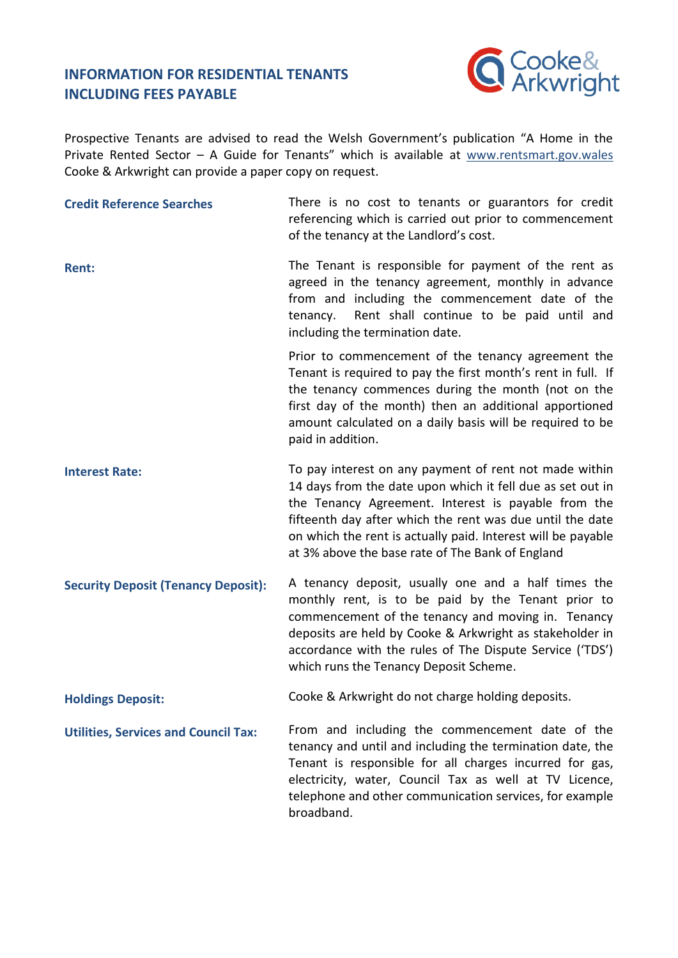## **INFORMATION FOR RESIDENTIAL TENANTS INCLUDING FEES PAYABLE**



Prospective Tenants are advised to read the Welsh Government's publication "A Home in the Private Rented Sector – A Guide for Tenants" which is available at [www.rentsmart.gov.wales](https://www.rentsmart.gov.wales/Uploads/Downloads/00/00/00/02/DownloadFileEN_FILE/RSW-Tenant-s-Guide.pdf) Cooke & Arkwright can provide a paper copy on request.

| <b>Credit Reference Searches</b>            | There is no cost to tenants or guarantors for credit<br>referencing which is carried out prior to commencement<br>of the tenancy at the Landlord's cost.                                                                                                                                                                                                     |
|---------------------------------------------|--------------------------------------------------------------------------------------------------------------------------------------------------------------------------------------------------------------------------------------------------------------------------------------------------------------------------------------------------------------|
| <b>Rent:</b>                                | The Tenant is responsible for payment of the rent as<br>agreed in the tenancy agreement, monthly in advance<br>from and including the commencement date of the<br>Rent shall continue to be paid until and<br>tenancy.<br>including the termination date.                                                                                                    |
|                                             | Prior to commencement of the tenancy agreement the<br>Tenant is required to pay the first month's rent in full. If<br>the tenancy commences during the month (not on the<br>first day of the month) then an additional apportioned<br>amount calculated on a daily basis will be required to be<br>paid in addition.                                         |
| <b>Interest Rate:</b>                       | To pay interest on any payment of rent not made within<br>14 days from the date upon which it fell due as set out in<br>the Tenancy Agreement. Interest is payable from the<br>fifteenth day after which the rent was due until the date<br>on which the rent is actually paid. Interest will be payable<br>at 3% above the base rate of The Bank of England |
| <b>Security Deposit (Tenancy Deposit):</b>  | A tenancy deposit, usually one and a half times the<br>monthly rent, is to be paid by the Tenant prior to<br>commencement of the tenancy and moving in. Tenancy<br>deposits are held by Cooke & Arkwright as stakeholder in<br>accordance with the rules of The Dispute Service ('TDS')<br>which runs the Tenancy Deposit Scheme.                            |
| <b>Holdings Deposit:</b>                    | Cooke & Arkwright do not charge holding deposits.                                                                                                                                                                                                                                                                                                            |
| <b>Utilities, Services and Council Tax:</b> | From and including the commencement date of the<br>tenancy and until and including the termination date, the<br>Tenant is responsible for all charges incurred for gas,<br>electricity, water, Council Tax as well at TV Licence,<br>telephone and other communication services, for example<br>broadband.                                                   |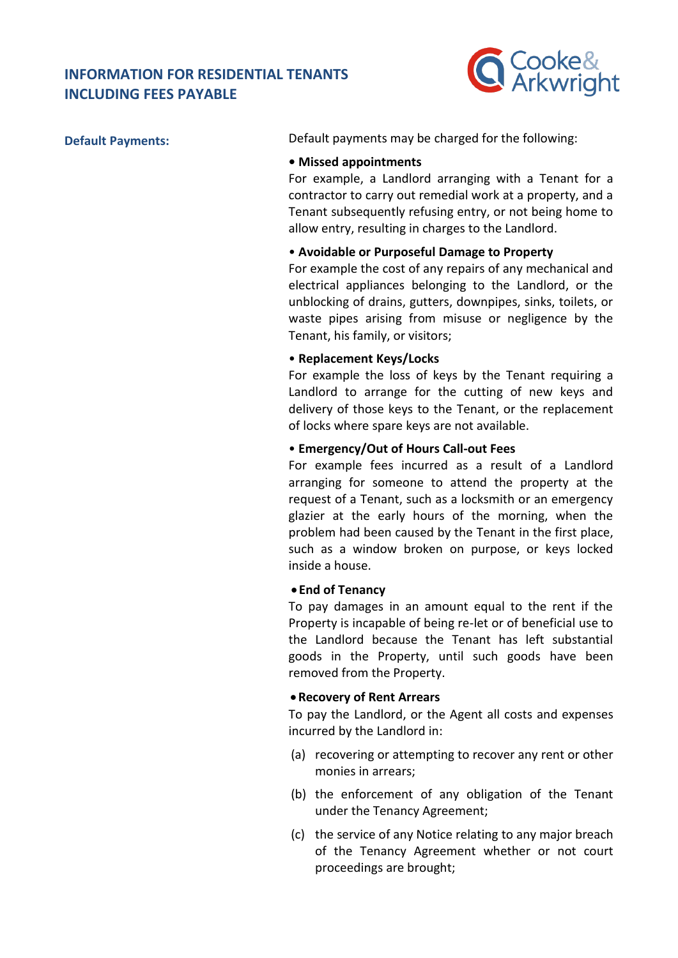# **INFORMATION FOR RESIDENTIAL TENANTS INCLUDING FEES PAYABLE**



**Default Payments:** Default payments may be charged for the following:

## **• Missed appointments**

For example, a Landlord arranging with a Tenant for a contractor to carry out remedial work at a property, and a Tenant subsequently refusing entry, or not being home to allow entry, resulting in charges to the Landlord.

## • **Avoidable or Purposeful Damage to Property**

For example the cost of any repairs of any mechanical and electrical appliances belonging to the Landlord, or the unblocking of drains, gutters, downpipes, sinks, toilets, or waste pipes arising from misuse or negligence by the Tenant, his family, or visitors;

## • **Replacement Keys/Locks**

For example the loss of keys by the Tenant requiring a Landlord to arrange for the cutting of new keys and delivery of those keys to the Tenant, or the replacement of locks where spare keys are not available.

## • **Emergency/Out of Hours Call-out Fees**

For example fees incurred as a result of a Landlord arranging for someone to attend the property at the request of a Tenant, such as a locksmith or an emergency glazier at the early hours of the morning, when the problem had been caused by the Tenant in the first place, such as a window broken on purpose, or keys locked inside a house.

#### • **End of Tenancy**

To pay damages in an amount equal to the rent if the Property is incapable of being re-let or of beneficial use to the Landlord because the Tenant has left substantial goods in the Property, until such goods have been removed from the Property.

#### •**Recovery of Rent Arrears**

To pay the Landlord, or the Agent all costs and expenses incurred by the Landlord in:

- (a) recovering or attempting to recover any rent or other monies in arrears;
- (b) the enforcement of any obligation of the Tenant under the Tenancy Agreement;
- (c) the service of any Notice relating to any major breach of the Tenancy Agreement whether or not court proceedings are brought;